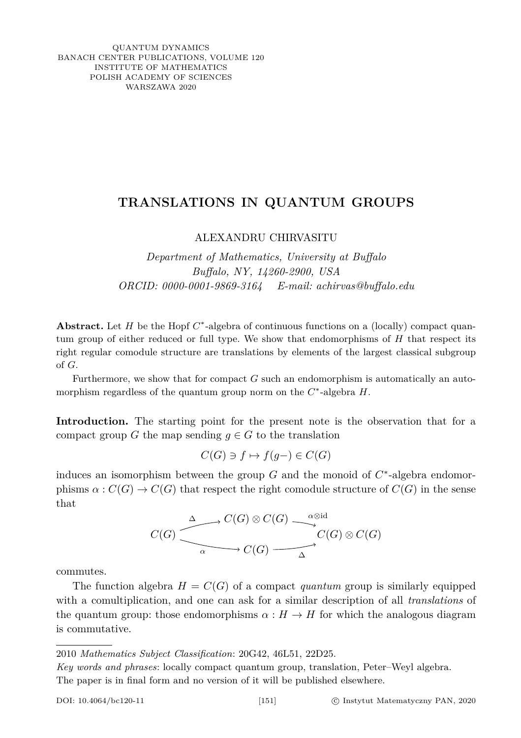QUANTUM DYNAMICS BANACH CENTER PUBLICATIONS, VOLUME 120 INSTITUTE OF MATHEMATICS POLISH ACADEMY OF SCIENCES WARSZAWA 2020

## **TRANSLATIONS IN QUANTUM GROUPS**

## ALEXANDRU CHIRVASITU

*Department of Mathematics, University at Buffalo Buffalo, NY, 14260-2900, USA ORCID: 0000-0001-9869-3164 E-mail: achirvas@buffalo.edu*

Abstract. Let *H* be the Hopf  $C^*$ -algebra of continuous functions on a (locally) compact quantum group of either reduced or full type. We show that endomorphisms of *H* that respect its right regular comodule structure are translations by elements of the largest classical subgroup of *G*.

Furthermore, we show that for compact *G* such an endomorphism is automatically an automorphism regardless of the quantum group norm on the *C* ∗ -algebra *H*.

**Introduction.** The starting point for the present note is the observation that for a compact group *G* the map sending  $q \in G$  to the translation

$$
C(G) \ni f \mapsto f(g-) \in C(G)
$$

induces an isomorphism between the group  $G$  and the monoid of  $C^*$ -algebra endomorphisms  $\alpha : C(G) \to C(G)$  that respect the right comodule structure of  $C(G)$  in the sense that

$$
C(G) \xrightarrow{\Delta} C(G) \otimes C(G) \xrightarrow{\alpha \otimes id} C(G) \otimes C(G)
$$
  
\alpha \longrightarrow C(G) \longrightarrow C(G) \longrightarrow C(G)

commutes.

The function algebra  $H = C(G)$  of a compact *quantum* group is similarly equipped with a comultiplication, and one can ask for a similar description of all *translations* of the quantum group: those endomorphisms  $\alpha : H \to H$  for which the analogous diagram is commutative.

<sup>2010</sup> *Mathematics Subject Classification*: 20G42, 46L51, 22D25.

*Key words and phrases*: locally compact quantum group, translation, Peter–Weyl algebra. The paper is in final form and no version of it will be published elsewhere.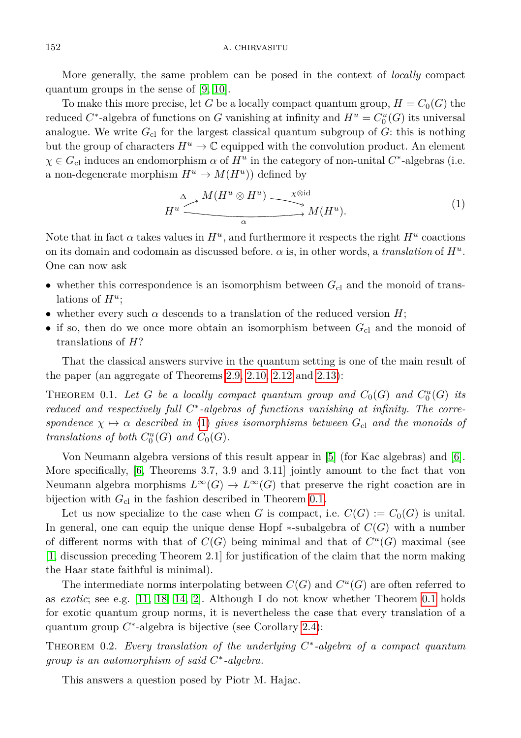More generally, the same problem can be posed in the context of *locally* compact quantum groups in the sense of [\[9,](#page-8-0) [10\]](#page-8-1).

To make this more precise, let *G* be a locally compact quantum group,  $H = C_0(G)$  the reduced  $C^*$ -algebra of functions on *G* vanishing at infinity and  $H^u = C_0^u(G)$  its universal analogue. We write  $G_{\rm cl}$  for the largest classical quantum subgroup of  $G$ : this is nothing but the group of characters  $H^u \to \mathbb{C}$  equipped with the convolution product. An element  $\chi \in G_{\text{cl}}$  induces an endomorphism  $\alpha$  of  $H^u$  in the category of non-unital  $C^*$ -algebras (i.e. a non-degenerate morphism  $H^u \to M(H^u)$  defined by

<span id="page-1-0"></span>
$$
H^u \xrightarrow{\Delta} M(H^u \otimes H^u) \xrightarrow{\chi \otimes \mathrm{id}} M(H^u). \tag{1}
$$

Note that in fact  $\alpha$  takes values in  $H^u$ , and furthermore it respects the right  $H^u$  coactions on its domain and codomain as discussed before.  $\alpha$  is, in other words, a *translation* of  $H^u$ . One can now ask

- whether this correspondence is an isomorphism between  $G_{\text{cl}}$  and the monoid of translations of  $H^u$ ;
- whether every such  $\alpha$  descends to a translation of the reduced version  $H$ ;
- if so, then do we once more obtain an isomorphism between  $G_{\text{cl}}$  and the monoid of translations of *H*?

That the classical answers survive in the quantum setting is one of the main result of the paper (an aggregate of Theorems [2.9,](#page-5-0) [2.10,](#page-6-0) [2.12](#page-6-1) and [2.13\)](#page-7-0):

<span id="page-1-1"></span>THEOREM 0.1. Let *G* be a locally compact quantum group and  $C_0(G)$  and  $C_0^u(G)$  its *reduced and respectively full C* ∗ *-algebras of functions vanishing at infinity. The correspondence*  $\chi \mapsto \alpha$  *described in* [\(1\)](#page-1-0) *gives isomorphisms between*  $G_{c1}$  *and the monoids of translations of both*  $C_0^u(G)$  *and*  $C_0(G)$ *.* 

Von Neumann algebra versions of this result appear in [\[5\]](#page-8-2) (for Kac algebras) and [\[6\]](#page-8-3). More specifically, [\[6,](#page-8-3) Theorems 3.7, 3.9 and 3.11] jointly amount to the fact that von Neumann algebra morphisms  $L^{\infty}(G) \to L^{\infty}(G)$  that preserve the right coaction are in bijection with  $G_{\text{cl}}$  in the fashion described in Theorem [0.1.](#page-1-1)

Let us now specialize to the case when *G* is compact, i.e.  $C(G) := C_0(G)$  is unital. In general, one can equip the unique dense Hopf  $\ast$ -subalgebra of  $C(G)$  with a number of different norms with that of  $C(G)$  being minimal and that of  $C^u(G)$  maximal (see [\[1,](#page-8-4) discussion preceding Theorem 2.1] for justification of the claim that the norm making the Haar state faithful is minimal).

The intermediate norms interpolating between  $C(G)$  and  $C<sup>u</sup>(G)$  are often referred to as *exotic*; see e.g. [\[11,](#page-8-5) [18,](#page-9-0) [14,](#page-8-6) [2\]](#page-8-7). Although I do not know whether Theorem [0.1](#page-1-1) holds for exotic quantum group norms, it is nevertheless the case that every translation of a quantum group *C*<sup>\*</sup>-algebra is bijective (see Corollary [2.4\)](#page-4-0):

Theorem 0.2. *Every translation of the underlying C* ∗ *-algebra of a compact quantum group is an automorphism of said C* ∗ *-algebra.*

This answers a question posed by Piotr M. Hajac.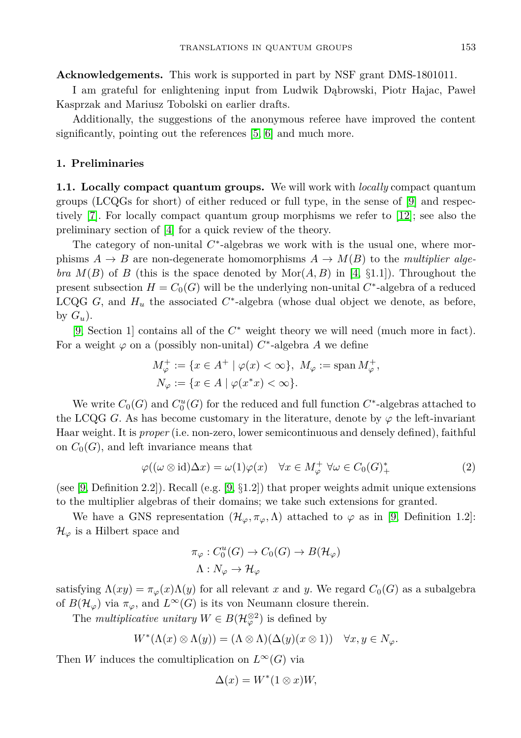**Acknowledgements.** This work is supported in part by NSF grant DMS-1801011.

I am grateful for enlightening input from Ludwik Dąbrowski, Piotr Hajac, Paweł Kasprzak and Mariusz Tobolski on earlier drafts.

Additionally, the suggestions of the anonymous referee have improved the content significantly, pointing out the references [\[5,](#page-8-2) [6\]](#page-8-3) and much more.

## **1. Preliminaries**

**1.1. Locally compact quantum groups.** We will work with *locally* compact quantum groups (LCQGs for short) of either reduced or full type, in the sense of [\[9\]](#page-8-0) and respectively [\[7\]](#page-8-8). For locally compact quantum group morphisms we refer to [\[12\]](#page-8-9); see also the preliminary section of [\[4\]](#page-8-10) for a quick review of the theory.

The category of non-unital  $C^*$ -algebras we work with is the usual one, where morphisms  $A \rightarrow B$  are non-degenerate homomorphisms  $A \rightarrow M(B)$  to the *multiplier algebra*  $M(B)$  of *B* (this is the space denoted by  $Mor(A, B)$  in [\[4,](#page-8-10) §1.1]). Throughout the present subsection  $H = C_0(G)$  will be the underlying non-unital  $C^*$ -algebra of a reduced LCQG  $G$ , and  $H_u$  the associated  $C^*$ -algebra (whose dual object we denote, as before, by  $G_u$ ).

[\[9,](#page-8-0) Section 1] contains all of the *C* <sup>∗</sup> weight theory we will need (much more in fact). For a weight  $\varphi$  on a (possibly non-unital)  $C^*$ -algebra A we define

$$
M_{\varphi}^{+} := \{ x \in A^{+} \mid \varphi(x) < \infty \}, \ M_{\varphi} := \text{span } M_{\varphi}^{+},
$$
  

$$
N_{\varphi} := \{ x \in A \mid \varphi(x^*x) < \infty \}.
$$

We write  $C_0(G)$  and  $C_0^u(G)$  for the reduced and full function  $C^*$ -algebras attached to the LCQG *G*. As has become customary in the literature, denote by  $\varphi$  the left-invariant Haar weight. It is *proper* (i.e. non-zero, lower semicontinuous and densely defined), faithful on  $C_0(G)$ , and left invariance means that

<span id="page-2-0"></span>
$$
\varphi((\omega \otimes id)\Delta x) = \omega(1)\varphi(x) \quad \forall x \in M_{\varphi}^{+} \ \forall \omega \in C_{0}(G)_{+}^{*}
$$
 (2)

(see [\[9,](#page-8-0) Definition 2.2]). Recall (e.g. [9,  $\S1.2$ ]) that proper weights admit unique extensions to the multiplier algebras of their domains; we take such extensions for granted.

We have a GNS representation  $(\mathcal{H}_{\varphi}, \pi_{\varphi}, \Lambda)$  attached to  $\varphi$  as in [\[9,](#page-8-0) Definition 1.2]:  $\mathcal{H}_{\varphi}$  is a Hilbert space and

$$
\pi_{\varphi}: C_0^u(G) \to C_0(G) \to B(\mathcal{H}_{\varphi})
$$

$$
\Lambda: N_{\varphi} \to \mathcal{H}_{\varphi}
$$

satisfying  $\Lambda(xy) = \pi_{\varphi}(x) \Lambda(y)$  for all relevant x and y. We regard  $C_0(G)$  as a subalgebra of  $B(\mathcal{H}_{\varphi})$  via  $\pi_{\varphi}$ , and  $L^{\infty}(G)$  is its von Neumann closure therein.

The *multiplicative unitary*  $W \in B(\mathcal{H}_{\varphi}^{\otimes 2})$  is defined by

$$
W^*(\Lambda(x)\otimes\Lambda(y))=(\Lambda\otimes\Lambda)(\Delta(y)(x\otimes 1))\quad\forall x,y\in N_\varphi.
$$

Then *W* induces the comultiplication on  $L^{\infty}(G)$  via

$$
\Delta(x) = W^*(1 \otimes x)W,
$$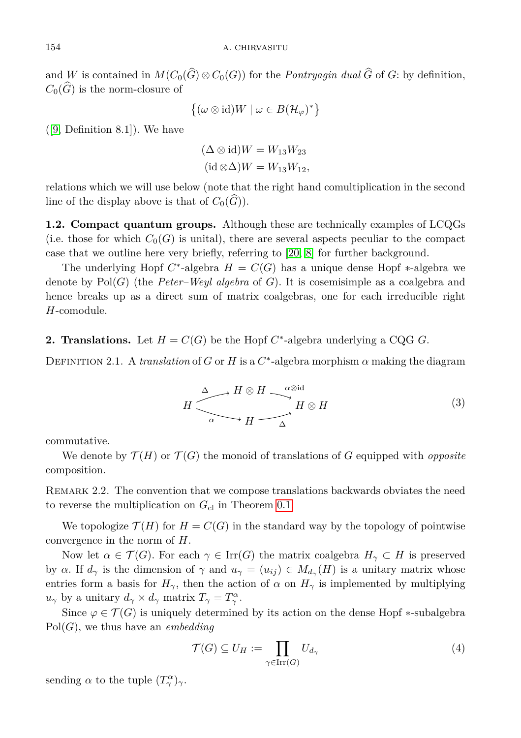and *W* is contained in  $M(C_0(\widehat{G}) \otimes C_0(G))$  for the *Pontryagin dual*  $\widehat{G}$  of *G*: by definition,  $C_0(\widehat{G})$  is the norm-closure of

$$
\left\{ (\omega \otimes id)W \mid \omega \in B(\mathcal{H}_{\varphi})^* \right\}
$$

([\[9,](#page-8-0) Definition 8.1]). We have

$$
(\Delta \otimes id)W = W_{13}W_{23}
$$
  
(id  $\otimes \Delta$ )W = W<sub>13</sub>W<sub>12</sub>,

relations which we will use below (note that the right hand comultiplication in the second line of the display above is that of  $C_0(\widehat{G})$ ).

**1.2. Compact quantum groups.** Although these are technically examples of LCQGs (i.e. those for which  $C_0(G)$  is unital), there are several aspects peculiar to the compact case that we outline here very briefly, referring to [\[20,](#page-9-1) [8\]](#page-8-11) for further background.

The underlying Hopf  $C^*$ -algebra  $H = C(G)$  has a unique dense Hopf  $*$ -algebra we denote by Pol(*G*) (the *Peter–Weyl algebra* of *G*). It is cosemisimple as a coalgebra and hence breaks up as a direct sum of matrix coalgebras, one for each irreducible right *H*-comodule.

<span id="page-3-3"></span>**2. Translations.** Let  $H = C(G)$  be the Hopf  $C^*$ -algebra underlying a CQG *G*.

<span id="page-3-2"></span><span id="page-3-1"></span>DEFINITION 2.1. A *translation* of *G* or *H* is a  $C^*$ -algebra morphism  $\alpha$  making the diagram

$$
H \xrightarrow{\Delta} H \otimes H \xrightarrow{\alpha \otimes \text{id}} H \otimes H
$$
\n
$$
H \xrightarrow{\alpha} H \otimes H
$$
\n(3)

commutative.

We denote by  $\mathcal{T}(H)$  or  $\mathcal{T}(G)$  the monoid of translations of G equipped with *opposite* composition.

REMARK 2.2. The convention that we compose translations backwards obviates the need to reverse the multiplication on  $G_{\text{cl}}$  in Theorem [0.1.](#page-1-1)

We topologize  $\mathcal{T}(H)$  for  $H = C(G)$  in the standard way by the topology of pointwise convergence in the norm of *H*.

Now let  $\alpha \in \mathcal{T}(G)$ . For each  $\gamma \in \text{Irr}(G)$  the matrix coalgebra  $H_{\gamma} \subset H$  is preserved by *α*. If  $d_\gamma$  is the dimension of  $\gamma$  and  $u_\gamma = (u_{ij}) \in M_{d_\gamma}(H)$  is a unitary matrix whose entries form a basis for  $H_{\gamma}$ , then the action of  $\alpha$  on  $H_{\gamma}$  is implemented by multiplying *u*<sub>*γ*</sub> by a unitary  $d_{\gamma} \times d_{\gamma}$  matrix  $T_{\gamma} = T_{\gamma}^{\alpha}$ .

Since  $\varphi \in \mathcal{T}(G)$  is uniquely determined by its action on the dense Hopf  $\ast$ -subalgebra Pol(*G*), we thus have an *embedding*

<span id="page-3-0"></span>
$$
\mathcal{T}(G) \subseteq U_H := \prod_{\gamma \in \operatorname{Irr}(G)} U_{d_{\gamma}} \tag{4}
$$

sending  $\alpha$  to the tuple  $(T^{\alpha}_{\gamma})_{\gamma}$ .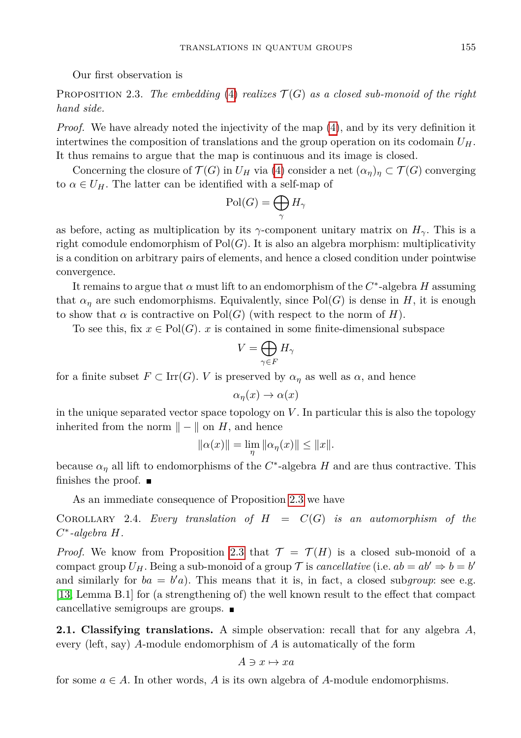Our first observation is

<span id="page-4-1"></span>PROPOSITION 2.3. The embedding [\(4\)](#page-3-0) realizes  $\mathcal{T}(G)$  as a closed sub-monoid of the right *hand side.*

*Proof.* We have already noted the injectivity of the map  $(4)$ , and by its very definition it intertwines the composition of translations and the group operation on its codomain *UH*. It thus remains to argue that the map is continuous and its image is closed.

Concerning the closure of  $\mathcal{T}(G)$  in  $U_H$  via [\(4\)](#page-3-0) consider a net  $(\alpha_n)_n \subset \mathcal{T}(G)$  converging to  $\alpha \in U_H$ . The latter can be identified with a self-map of

$$
\mathrm{Pol}(G)=\bigoplus_{\gamma}H_{\gamma}
$$

as before, acting as multiplication by its  $\gamma$ -component unitary matrix on  $H_{\gamma}$ . This is a right comodule endomorphism of  $Pol(G)$ . It is also an algebra morphism: multiplicativity is a condition on arbitrary pairs of elements, and hence a closed condition under pointwise convergence.

It remains to argue that  $\alpha$  must lift to an endomorphism of the  $C^*$ -algebra  $H$  assuming that  $\alpha_n$  are such endomorphisms. Equivalently, since Pol(*G*) is dense in *H*, it is enough to show that  $\alpha$  is contractive on Pol(*G*) (with respect to the norm of *H*).

To see this, fix  $x \in Pol(G)$ . *x* is contained in some finite-dimensional subspace

$$
V=\bigoplus_{\gamma\in F}H_\gamma
$$

for a finite subset  $F \subset \text{Irr}(G)$ . *V* is preserved by  $\alpha_{\eta}$  as well as  $\alpha$ , and hence

$$
\alpha_{\eta}(x) \to \alpha(x)
$$

in the unique separated vector space topology on *V* . In particular this is also the topology inherited from the norm  $\| - \|$  on *H*, and hence

$$
||\alpha(x)|| = \lim_{\eta} ||\alpha_{\eta}(x)|| \le ||x||.
$$

because  $\alpha_{\eta}$  all lift to endomorphisms of the  $C^*$ -algebra *H* and are thus contractive. This finishes the proof.  $\blacksquare$ 

As an immediate consequence of Proposition [2.3](#page-4-1) we have

<span id="page-4-0"></span>COROLLARY 2.4. *Every translation of*  $H = C(G)$  *is an automorphism of the C* ∗ *-algebra H.*

*Proof.* We know from Proposition [2.3](#page-4-1) that  $\mathcal{T} = \mathcal{T}(H)$  is a closed sub-monoid of a compact group  $U_H$ . Being a sub-monoid of a group  $\mathcal T$  is *cancellative* (i.e.  $ab = ab' \Rightarrow b = b'$ and similarly for  $ba = b'a$ ). This means that it is, in fact, a closed subgroup: see e.g. [\[13,](#page-8-12) Lemma B.1] for (a strengthening of) the well known result to the effect that compact cancellative semigroups are groups.

**2.1. Classifying translations.** A simple observation: recall that for any algebra *A*, every (left, say) *A*-module endomorphism of *A* is automatically of the form

$$
A \ni x \mapsto xa
$$

for some  $a \in A$ . In other words, A is its own algebra of A-module endomorphisms.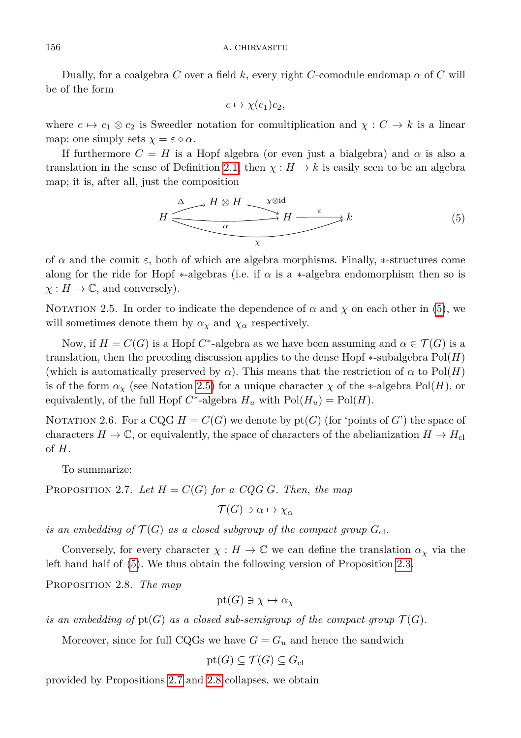Dually, for a coalgebra *C* over a field *k*, every right *C*-comodule endomap  $\alpha$  of *C* will be of the form

<span id="page-5-1"></span>
$$
c \mapsto \chi(c_1)c_2,
$$

where  $c \mapsto c_1 \otimes c_2$  is Sweedler notation for comultiplication and  $\chi : C \to k$  is a linear map: one simply sets  $\chi = \varepsilon \circ \alpha$ .

If furthermore  $C = H$  is a Hopf algebra (or even just a bialgebra) and  $\alpha$  is also a translation in the sense of Definition [2.1,](#page-3-1) then  $\chi : H \to k$  is easily seen to be an algebra map; it is, after all, just the composition

$$
H \xrightarrow{\Delta} H \otimes H \xrightarrow{\chi \otimes \text{id}} H \xrightarrow{\varepsilon} k \tag{5}
$$

of  $\alpha$  and the counit  $\varepsilon$ , both of which are algebra morphisms. Finally,  $*$ -structures come along for the ride for Hopf  $\ast$ -algebras (i.e. if  $\alpha$  is a  $\ast$ -algebra endomorphism then so is  $\chi: H \to \mathbb{C}$ , and conversely).

<span id="page-5-2"></span>NOTATION 2.5. In order to indicate the dependence of  $\alpha$  and  $\chi$  on each other in [\(5\)](#page-5-1), we will sometimes denote them by  $\alpha_{\chi}$  and  $\chi_{\alpha}$  respectively.

Now, if  $H = C(G)$  is a Hopf  $C^*$ -algebra as we have been assuming and  $\alpha \in \mathcal{T}(G)$  is a translation, then the preceding discussion applies to the dense Hopf ∗-subalgebra Pol(*H*) (which is automatically preserved by  $\alpha$ ). This means that the restriction of  $\alpha$  to Pol(*H*) is of the form  $\alpha_\chi$  (see Notation [2.5\)](#page-5-2) for a unique character  $\chi$  of the ∗-algebra Pol(*H*), or equivalently, of the full Hopf  $C^*$ -algebra  $H_u$  with  $Pol(H_u) = Pol(H)$ .

NOTATION 2.6. For a CQG  $H = C(G)$  we denote by  $pt(G)$  (for 'points of *G*') the space of characters  $H \to \mathbb{C}$ , or equivalently, the space of characters of the abelianization  $H \to H_{\text{cl}}$ of *H*.

To summarize:

<span id="page-5-3"></span>PROPOSITION 2.7. Let  $H = C(G)$  for a CQG *G*. Then, the map

$$
\mathcal{T}(G) \ni \alpha \mapsto \chi_{\alpha}
$$

*is an embedding of*  $\mathcal{T}(G)$  *as a closed subgroup of the compact group*  $G_{c}$ .

Conversely, for every character  $\chi : H \to \mathbb{C}$  we can define the translation  $\alpha_{\chi}$  via the left hand half of [\(5\)](#page-5-1). We thus obtain the following version of Proposition [2.3.](#page-4-1)

<span id="page-5-4"></span>Proposition 2.8. *The map*

$$
\text{pt}(G) \ni \chi \mapsto \alpha_{\chi}
$$

*is an embedding of*  $pt(G)$  *as a closed sub-semigroup of the compact group*  $\mathcal{T}(G)$ *.* 

Moreover, since for full CQGs we have  $G = G_u$  and hence the sandwich

$$
\mathop{\rm pt}\nolimits(G)\subseteq \mathcal{T}(G)\subseteq G_{\rm cl}
$$

<span id="page-5-0"></span>provided by Propositions [2.7](#page-5-3) and [2.8](#page-5-4) collapses, we obtain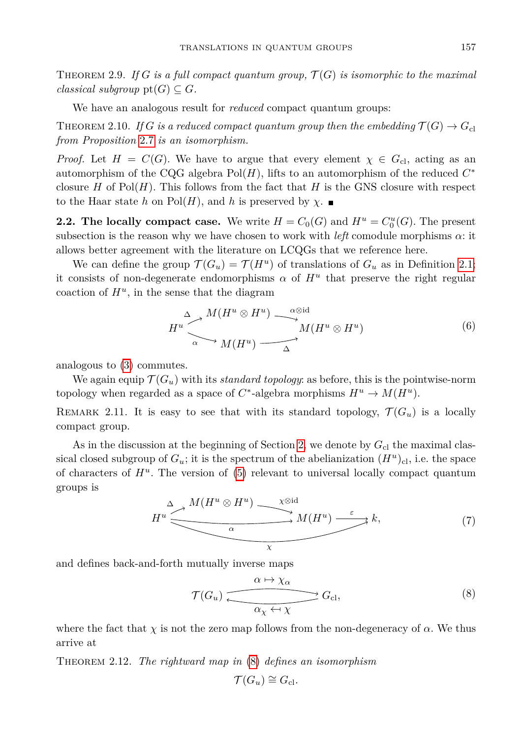THEOREM 2.9. If  $G$  is a full compact quantum group,  $\mathcal{T}(G)$  is isomorphic to the maximal *classical subgroup*  $pt(G) \subseteq G$ *.* 

We have an analogous result for *reduced* compact quantum groups:

<span id="page-6-0"></span>THEOREM 2.10. *If G* is a reduced compact quantum group then the embedding  $\mathcal{T}(G) \rightarrow G_{\text{cl}}$ *from Proposition* [2.7](#page-5-3) *is an isomorphism.*

*Proof.* Let  $H = C(G)$ . We have to argue that every element  $\chi \in G_{\rm cl}$ , acting as an automorphism of the CQG algebra  $Pol(H)$ , lifts to an automorphism of the reduced  $C^*$ closure *H* of Pol $(H)$ . This follows from the fact that *H* is the GNS closure with respect to the Haar state *h* on Pol(*H*), and *h* is preserved by  $\chi$ .

**2.2. The locally compact case.** We write  $H = C_0(G)$  and  $H^u = C_0^u(G)$ . The present subsection is the reason why we have chosen to work with  $left$  comodule morphisms  $\alpha$ : it allows better agreement with the literature on LCQGs that we reference here.

We can define the group  $\mathcal{T}(G_u) = \mathcal{T}(H^u)$  of translations of  $G_u$  as in Definition [2.1;](#page-3-1) it consists of non-degenerate endomorphisms  $\alpha$  of  $H^u$  that preserve the right regular coaction of  $H^u$ , in the sense that the diagram

<span id="page-6-3"></span>
$$
H^u \xrightarrow{\Delta} M(H^u \otimes H^u) \xrightarrow{\alpha \otimes \mathrm{id}} M(H^u \otimes H^u) \tag{6}
$$

analogous to [\(3\)](#page-3-2) commutes.

We again equip  $\mathcal{T}(G_u)$  with its *standard topology*: as before, this is the pointwise-norm topology when regarded as a space of  $C^*$ -algebra morphisms  $H^u \to M(H^u)$ .

REMARK 2.11. It is easy to see that with its standard topology,  $\mathcal{T}(G_u)$  is a locally compact group.

As in the discussion at the beginning of Section [2,](#page-3-3) we denote by  $G_{\rm cl}$  the maximal classical closed subgroup of  $G_u$ ; it is the spectrum of the abelianization  $(H^u)_{\text{cl}}$ , i.e. the space of characters of  $H^u$ . The version of  $(5)$  relevant to universal locally compact quantum groups is

$$
H^u \xrightarrow{\Delta} M(H^u \otimes H^u) \xrightarrow{\chi \otimes \mathrm{id}} M(H^u) \xrightarrow{\varepsilon} k,\tag{7}
$$

and defines back-and-forth mutually inverse maps

<span id="page-6-2"></span>
$$
\mathcal{T}(G_u) \xrightarrow{\alpha \mapsto \chi_{\alpha}} G_{\text{cl}},
$$
\n
$$
\xrightarrow{\alpha_{\chi} \leftarrow \chi} G_{\text{cl}},
$$
\n
$$
(8)
$$

where the fact that  $\chi$  is not the zero map follows from the non-degeneracy of  $\alpha$ . We thus arrive at

<span id="page-6-1"></span>Theorem 2.12. *The rightward map in* [\(8\)](#page-6-2) *defines an isomorphism*

$$
\mathcal{T}(G_u) \cong G_{\mathrm{cl}}.
$$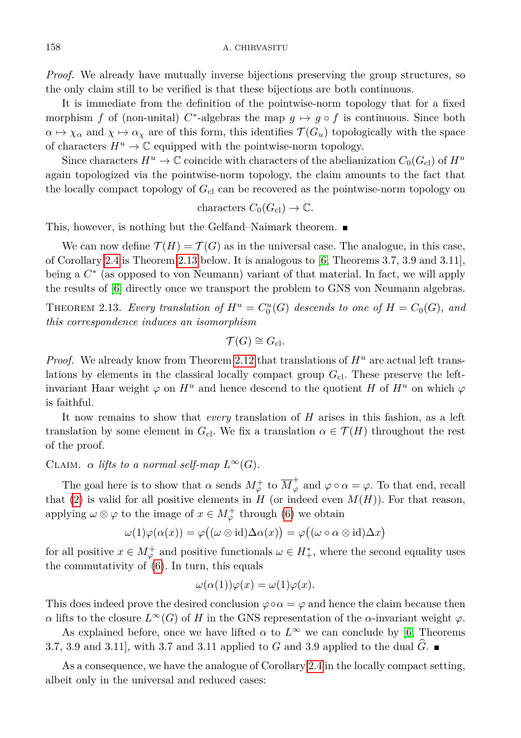*Proof.* We already have mutually inverse bijections preserving the group structures, so the only claim still to be verified is that these bijections are both continuous.

It is immediate from the definition of the pointwise-norm topology that for a fixed morphism *f* of (non-unital)  $C^*$ -algebras the map  $g \mapsto g \circ f$  is continuous. Since both  $\alpha \mapsto \chi_{\alpha}$  and  $\chi \mapsto \alpha_{\chi}$  are of this form, this identifies  $\mathcal{T}(G_u)$  topologically with the space of characters  $H^u \to \mathbb{C}$  equipped with the pointwise-norm topology.

Since characters  $H^u \to \mathbb{C}$  coincide with characters of the abelianization  $C_0(G_{cl})$  of  $H^u$ again topologized via the pointwise-norm topology, the claim amounts to the fact that the locally compact topology of  $G_{\text{cl}}$  can be recovered as the pointwise-norm topology on

characters  $C_0(G_{\text{cl}}) \to \mathbb{C}$ .

This, however, is nothing but the Gelfand–Naimark theorem.

We can now define  $\mathcal{T}(H) = \mathcal{T}(G)$  as in the universal case. The analogue, in this case, of Corollary [2.4](#page-4-0) is Theorem [2.13](#page-7-0) below. It is analogous to [\[6,](#page-8-3) Theorems 3.7, 3.9 and 3.11], being a  $C^*$  (as opposed to von Neumann) variant of that material. In fact, we will apply the results of [\[6\]](#page-8-3) directly once we transport the problem to GNS von Neumann algebras.

<span id="page-7-0"></span>THEOREM 2.13. *Every translation of*  $H^u = C_0^u(G)$  *descends to one of*  $H = C_0(G)$ *, and this correspondence induces an isomorphism*

$$
\mathcal{T}(G) \cong G_{\mathrm{cl}}.
$$

*Proof.* We already know from Theorem [2.12](#page-6-1) that translations of  $H^u$  are actual left translations by elements in the classical locally compact group  $G_{\text{cl}}$ . These preserve the leftinvariant Haar weight  $\varphi$  on  $H^u$  and hence descend to the quotient *H* of  $H^u$  on which  $\varphi$ is faithful.

It now remains to show that *every* translation of *H* arises in this fashion, as a left translation by some element in  $G_{\text{cl}}$ . We fix a translation  $\alpha \in \mathcal{T}(H)$  throughout the rest of the proof.

CLAIM.  $\alpha$  *lifts to a normal self-map*  $L^{\infty}(G)$ .

The goal here is to show that  $\alpha$  sends  $M_{\varphi}^+$  to  $\overline{M}_{\varphi}^+$  and  $\varphi \circ \alpha = \varphi$ . To that end, recall that [\(2\)](#page-2-0) is valid for all positive elements in  $H$  (or indeed even  $M(H)$ ). For that reason, applying  $\omega \otimes \varphi$  to the image of  $x \in M_{\varphi}^+$  through [\(6\)](#page-6-3) we obtain

$$
\omega(1)\varphi(\alpha(x)) = \varphi((\omega \otimes id)\Delta\alpha(x)) = \varphi((\omega \circ \alpha \otimes id)\Delta x)
$$

for all positive  $x \in M_{\varphi}^+$  and positive functionals  $\omega \in H_+^*$ , where the second equality uses the commutativity of [\(6\)](#page-6-3). In turn, this equals

$$
\omega(\alpha(1))\varphi(x) = \omega(1)\varphi(x).
$$

This does indeed prove the desired conclusion  $\varphi \circ \alpha = \varphi$  and hence the claim because then *α* lifts to the closure  $L^{\infty}(G)$  of *H* in the GNS representation of the *α*-invariant weight *ϕ*.

As explained before, once we have lifted  $\alpha$  to  $L^{\infty}$  we can conclude by [\[6,](#page-8-3) Theorems 3.7, 3.9 and 3.11], with 3.7 and 3.11 applied to *G* and 3.9 applied to the dual  $G$ .

As a consequence, we have the analogue of Corollary [2.4](#page-4-0) in the locally compact setting, albeit only in the universal and reduced cases: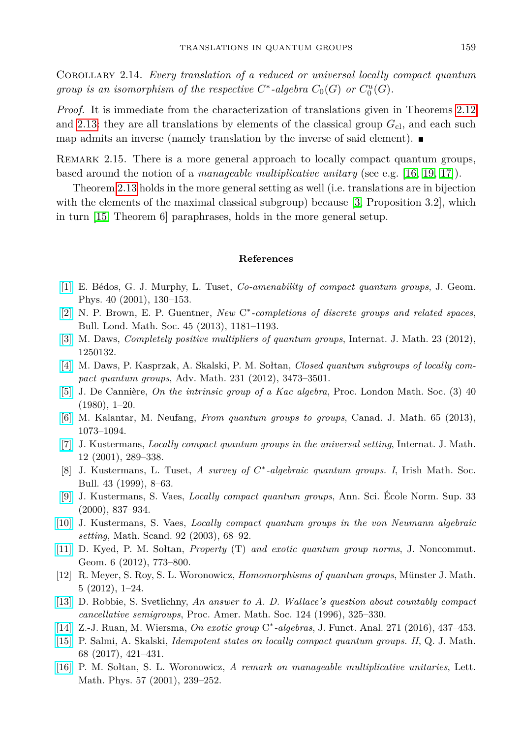Corollary 2.14. *Every translation of a reduced or universal locally compact quantum group is an isomorphism of the respective*  $C^*$ -algebra  $C_0(G)$  or  $C_0^u(G)$ .

*Proof.* It is immediate from the characterization of translations given in Theorems [2.12](#page-6-1) and [2.13:](#page-7-0) they are all translations by elements of the classical group  $G_{\rm cl}$ , and each such map admits an inverse (namely translation by the inverse of said element).  $\blacksquare$ 

REMARK 2.15. There is a more general approach to locally compact quantum groups, based around the notion of a *manageable multiplicative unitary* (see e.g. [\[16,](#page-8-13) [19,](#page-9-2) [17\]](#page-9-3)).

Theorem [2.13](#page-7-0) holds in the more general setting as well (i.e. translations are in bijection with the elements of the maximal classical subgroup) because [\[3,](#page-8-14) Proposition 3.2], which in turn [\[15,](#page-8-15) Theorem 6] paraphrases, holds in the more general setup.

## **References**

- <span id="page-8-4"></span>[\[1\]](http://dx.doi.org/10.1016/S0393-0440(01)00024-9) E. Bédos, G. J. Murphy, L. Tuset, *Co-amenability of compact quantum groups*, J. Geom. Phys. 40 (2001), 130–153.
- <span id="page-8-7"></span>[\[2\]](http://dx.doi.org/10.1112/blms/bdt044) N. P. Brown, E. P. Guentner, *New* C<sup>∗</sup>-completions of discrete groups and related spaces, Bull. Lond. Math. Soc. 45 (2013), 1181–1193.
- <span id="page-8-14"></span>[\[3\]](http://dx.doi.org/10.1142/S0129167X12501327) M. Daws, *Completely positive multipliers of quantum groups*, Internat. J. Math. 23 (2012), 1250132.
- <span id="page-8-10"></span>[\[4\]](http://dx.doi.org/10.1016/j.aim.2012.09.002) M. Daws, P. Kasprzak, A. Skalski, P. M. Sołtan, *Closed quantum subgroups of locally compact quantum groups*, Adv. Math. 231 (2012), 3473–3501.
- <span id="page-8-2"></span>[\[5\]](http://dx.doi.org/10.1112/plms/s3-40.1.1) J. De Cannière, *On the intrinsic group of a Kac algebra*, Proc. London Math. Soc. (3) 40 (1980), 1–20.
- <span id="page-8-3"></span>[\[6\]](http://dx.doi.org/10.4153/CJM-2012-047-x) M. Kalantar, M. Neufang, *From quantum groups to groups*, Canad. J. Math. 65 (2013), 1073–1094.
- <span id="page-8-8"></span>[\[7\]](http://dx.doi.org/10.1142/S0129167X01000757) J. Kustermans, *Locally compact quantum groups in the universal setting*, Internat. J. Math. 12 (2001), 289–338.
- <span id="page-8-11"></span>[8] J. Kustermans, L. Tuset, *A survey of C* ∗ *-algebraic quantum groups. I*, Irish Math. Soc. Bull. 43 (1999), 8–63.
- <span id="page-8-0"></span>[\[9\]](http://dx.doi.org/10.1016/S0012-9593(00)01055-7) J. Kustermans, S. Vaes, *Locally compact quantum groups*, Ann. Sci. École Norm. Sup. 33 (2000), 837–934.
- <span id="page-8-1"></span>[\[10\]](http://dx.doi.org/10.7146/math.scand.a-14394) J. Kustermans, S. Vaes, *Locally compact quantum groups in the von Neumann algebraic setting*, Math. Scand. 92 (2003), 68–92.
- <span id="page-8-5"></span>[\[11\]](http://dx.doi.org/10.4171/JNCG/105) D. Kyed, P. M. Sołtan, *Property* (T) *and exotic quantum group norms*, J. Noncommut. Geom. 6 (2012), 773–800.
- <span id="page-8-9"></span>[12] R. Meyer, S. Roy, S. L. Woronowicz, *Homomorphisms of quantum groups*, Münster J. Math. 5 (2012), 1–24.
- <span id="page-8-12"></span>[\[13\]](http://dx.doi.org/10.1090/S0002-9939-96-03418-1) D. Robbie, S. Svetlichny, *An answer to A. D. Wallace's question about countably compact cancellative semigroups*, Proc. Amer. Math. Soc. 124 (1996), 325–330.
- <span id="page-8-6"></span>[\[14\]](http://dx.doi.org/10.1016/j.jfa.2016.03.002) Z.-J. Ruan, M. Wiersma, *On exotic group* C ∗ *-algebras*, J. Funct. Anal. 271 (2016), 437–453.
- <span id="page-8-15"></span>[\[15\]](http://dx.doi.org/10.1093/qmath/haw045) P. Salmi, A. Skalski, *Idempotent states on locally compact quantum groups. II*, Q. J. Math. 68 (2017), 421–431.
- <span id="page-8-13"></span>[\[16\]](http://dx.doi.org/10.1023/A:1012230629865) P. M. Sołtan, S. L. Woronowicz, *A remark on manageable multiplicative unitaries*, Lett. Math. Phys. 57 (2001), 239–252.